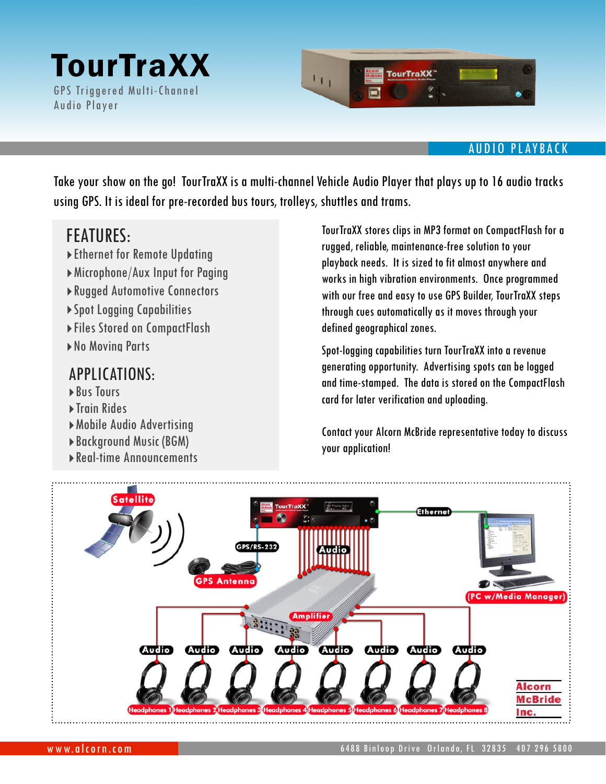## **TourTraXX** GPS Triggered Multi-Channel

Audio Player



### AUDIO PLAYBACK

Take your show on the go! TourTraXX is a multi-channel Vehicle Audio Player that plays up to 16 audio tracks using GPS. It is ideal for pre-recorded bus tours, trolleys, shuttles and trams.

## FEATURES:

- ‣Ethernet for Remote Updating
- ‣Microphone/Aux Input for Paging
- ‣Rugged Automotive Connectors
- ‣Spot Logging Capabilities
- ‣Files Stored on CompactFlash
- ‣No Moving Parts

### APPLICATIONS:

- ‣Bus Tours
- ▶ Train Rides
- ‣Mobile Audio Advertising
- ‣Background Music (BGM)
- ‣Real-time Announcements

TourTraXX stores clips in MP3 format on CompactFlash for a rugged, reliable, maintenance-free solution to your playback needs. It is sized to fit almost anywhere and works in high vibration environments. Once programmed with our free and easy to use GPS Builder, TourTraXX steps through cues automatically as it moves through your defined geographical zones.

Spot-logging capabilities turn TourTraXX into a revenue generating opportunity. Advertising spots can be logged and time-stamped. The data is stored on the CompactFlash card for later verification and uploading.

Contact your Alcorn McBride representative today to discuss your application!